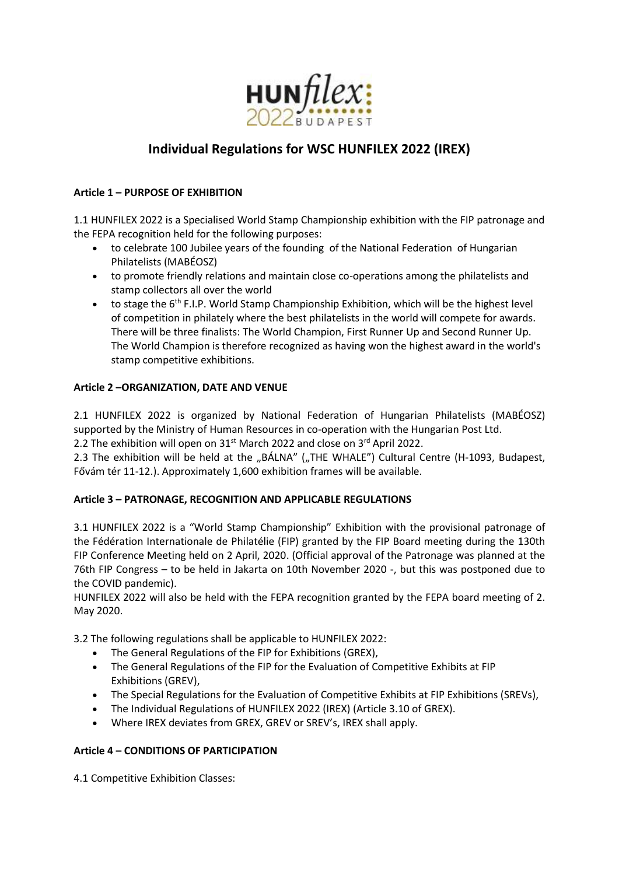

# **Individual Regulations for WSC HUNFILEX 2022 (IREX)**

#### **Article 1 – PURPOSE OF EXHIBITION**

1.1 HUNFILEX 2022 is a Specialised World Stamp Championship exhibition with the FIP patronage and the FEPA recognition held for the following purposes:

- to celebrate 100 Jubilee years of the founding of the National Federation of Hungarian Philatelists (MABÉOSZ)
- to promote friendly relations and maintain close co-operations among the philatelists and stamp collectors all over the world
- $\bullet$  to stage the  $6<sup>th</sup>$  F.I.P. World Stamp Championship Exhibition, which will be the highest level of competition in philately where the best philatelists in the world will compete for awards. There will be three finalists: The World Champion, First Runner Up and Second Runner Up. The World Champion is therefore recognized as having won the highest award in the world's stamp competitive exhibitions.

#### **Article 2 –ORGANIZATION, DATE AND VENUE**

2.1 HUNFILEX 2022 is organized by National Federation of Hungarian Philatelists (MABÉOSZ) supported by the Ministry of Human Resources in co-operation with the Hungarian Post Ltd.

2.2 The exhibition will open on 31<sup>st</sup> March 2022 and close on 3<sup>rd</sup> April 2022.

2.3 The exhibition will be held at the "BÁLNA" ("THE WHALE") Cultural Centre (H-1093, Budapest, Fővám tér 11-12.). Approximately 1,600 exhibition frames will be available.

#### **Article 3 – PATRONAGE, RECOGNITION AND APPLICABLE REGULATIONS**

3.1 HUNFILEX 2022 is a "World Stamp Championship" Exhibition with the provisional patronage of the Fédération Internationale de Philatélie (FIP) granted by the FIP Board meeting during the 130th FIP Conference Meeting held on 2 April, 2020. (Official approval of the Patronage was planned at the 76th FIP Congress – to be held in Jakarta on 10th November 2020 -, but this was postponed due to the COVID pandemic).

HUNFILEX 2022 will also be held with the FEPA recognition granted by the FEPA board meeting of 2. May 2020.

3.2 The following regulations shall be applicable to HUNFILEX 2022:

- The General Regulations of the FIP for Exhibitions (GREX),
- The General Regulations of the FIP for the Evaluation of Competitive Exhibits at FIP Exhibitions (GREV),
- The Special Regulations for the Evaluation of Competitive Exhibits at FIP Exhibitions (SREVs),
- The Individual Regulations of HUNFILEX 2022 (IREX) (Article 3.10 of GREX).
- Where IREX deviates from GREX, GREV or SREV's, IREX shall apply.

#### **Article 4 – CONDITIONS OF PARTICIPATION**

4.1 Competitive Exhibition Classes: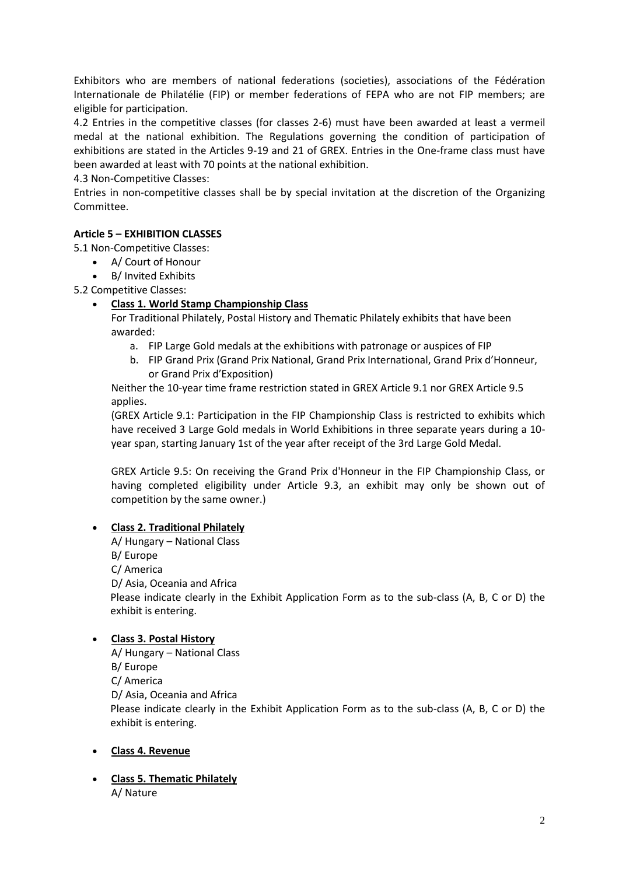Exhibitors who are members of national federations (societies), associations of the Fédération Internationale de Philatélie (FIP) or member federations of FEPA who are not FIP members; are eligible for participation.

4.2 Entries in the competitive classes (for classes 2-6) must have been awarded at least a vermeil medal at the national exhibition. The Regulations governing the condition of participation of exhibitions are stated in the Articles 9-19 and 21 of GREX. Entries in the One-frame class must have been awarded at least with 70 points at the national exhibition.

4.3 Non-Competitive Classes:

Entries in non-competitive classes shall be by special invitation at the discretion of the Organizing Committee.

# **Article 5 – EXHIBITION CLASSES**

5.1 Non-Competitive Classes:

- A/ Court of Honour
- B/ Invited Exhibits

5.2 Competitive Classes:

## **Class 1. World Stamp Championship Class**

For Traditional Philately, Postal History and Thematic Philately exhibits that have been awarded:

- a. FIP Large Gold medals at the exhibitions with patronage or auspices of FIP
- b. FIP Grand Prix (Grand Prix National, Grand Prix International, Grand Prix d'Honneur, or Grand Prix d'Exposition)

Neither the 10-year time frame restriction stated in GREX Article 9.1 nor GREX Article 9.5 applies.

(GREX Article 9.1: Participation in the FIP Championship Class is restricted to exhibits which have received 3 Large Gold medals in World Exhibitions in three separate years during a 10 year span, starting January 1st of the year after receipt of the 3rd Large Gold Medal.

GREX Article 9.5: On receiving the Grand Prix d'Honneur in the FIP Championship Class, or having completed eligibility under Article 9.3, an exhibit may only be shown out of competition by the same owner.)

# **Class 2. Traditional Philately**

A/ Hungary – National Class B/ Europe C/ America D/ Asia, Oceania and Africa Please indicate clearly in the Exhibit Application Form as to the sub-class (A, B, C or D) the exhibit is entering.

#### **Class 3. Postal History**

A/ Hungary – National Class B/ Europe C/ America D/ Asia, Oceania and Africa Please indicate clearly in the Exhibit Application Form as to the sub-class (A, B, C or D) the exhibit is entering.

#### **Class 4. Revenue**

 **Class 5. Thematic Philately** A/ Nature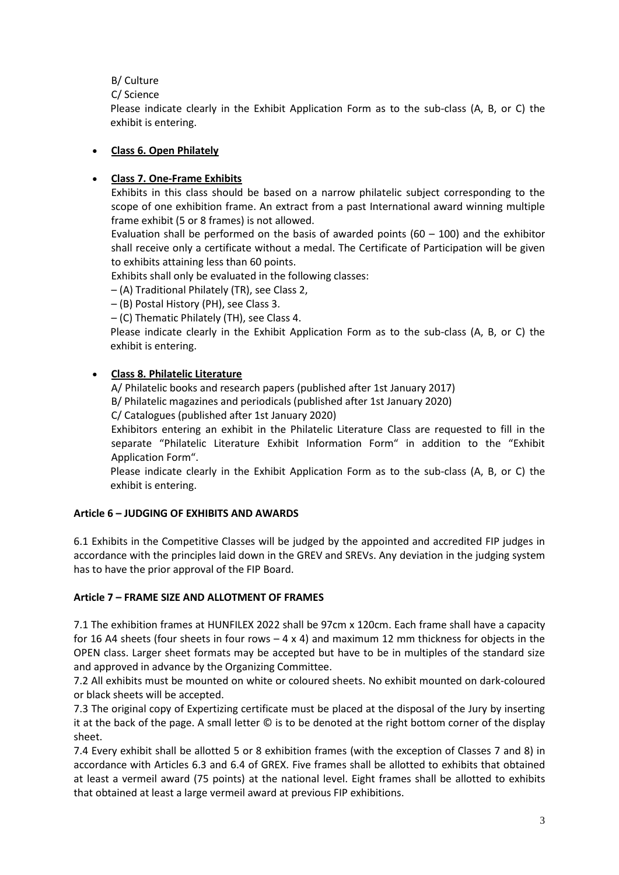B/ Culture

C/ Science

Please indicate clearly in the Exhibit Application Form as to the sub-class (A, B, or C) the exhibit is entering.

## **Class 6. Open Philately**

## **Class 7. One-Frame Exhibits**

Exhibits in this class should be based on a narrow philatelic subject corresponding to the scope of one exhibition frame. An extract from a past International award winning multiple frame exhibit (5 or 8 frames) is not allowed.

Evaluation shall be performed on the basis of awarded points  $(60 - 100)$  and the exhibitor shall receive only a certificate without a medal. The Certificate of Participation will be given to exhibits attaining less than 60 points.

Exhibits shall only be evaluated in the following classes:

– (A) Traditional Philately (TR), see Class 2,

– (B) Postal History (PH), see Class 3.

– (C) Thematic Philately (TH), see Class 4.

Please indicate clearly in the Exhibit Application Form as to the sub-class (A, B, or C) the exhibit is entering.

# **Class 8. Philatelic Literature**

A/ Philatelic books and research papers (published after 1st January 2017) B/ Philatelic magazines and periodicals (published after 1st January 2020)

C/ Catalogues (published after 1st January 2020)

Exhibitors entering an exhibit in the Philatelic Literature Class are requested to fill in the separate "Philatelic Literature Exhibit Information Form" in addition to the "Exhibit Application Form".

Please indicate clearly in the Exhibit Application Form as to the sub-class (A, B, or C) the exhibit is entering.

#### **Article 6 – JUDGING OF EXHIBITS AND AWARDS**

6.1 Exhibits in the Competitive Classes will be judged by the appointed and accredited FIP judges in accordance with the principles laid down in the GREV and SREVs. Any deviation in the judging system has to have the prior approval of the FIP Board.

#### **Article 7 – FRAME SIZE AND ALLOTMENT OF FRAMES**

7.1 The exhibition frames at HUNFILEX 2022 shall be 97cm x 120cm. Each frame shall have a capacity for 16 A4 sheets (four sheets in four rows  $-4 \times 4$ ) and maximum 12 mm thickness for objects in the OPEN class. Larger sheet formats may be accepted but have to be in multiples of the standard size and approved in advance by the Organizing Committee.

7.2 All exhibits must be mounted on white or coloured sheets. No exhibit mounted on dark-coloured or black sheets will be accepted.

7.3 The original copy of Expertizing certificate must be placed at the disposal of the Jury by inserting it at the back of the page. A small letter © is to be denoted at the right bottom corner of the display sheet.

7.4 Every exhibit shall be allotted 5 or 8 exhibition frames (with the exception of Classes 7 and 8) in accordance with Articles 6.3 and 6.4 of GREX. Five frames shall be allotted to exhibits that obtained at least a vermeil award (75 points) at the national level. Eight frames shall be allotted to exhibits that obtained at least a large vermeil award at previous FIP exhibitions.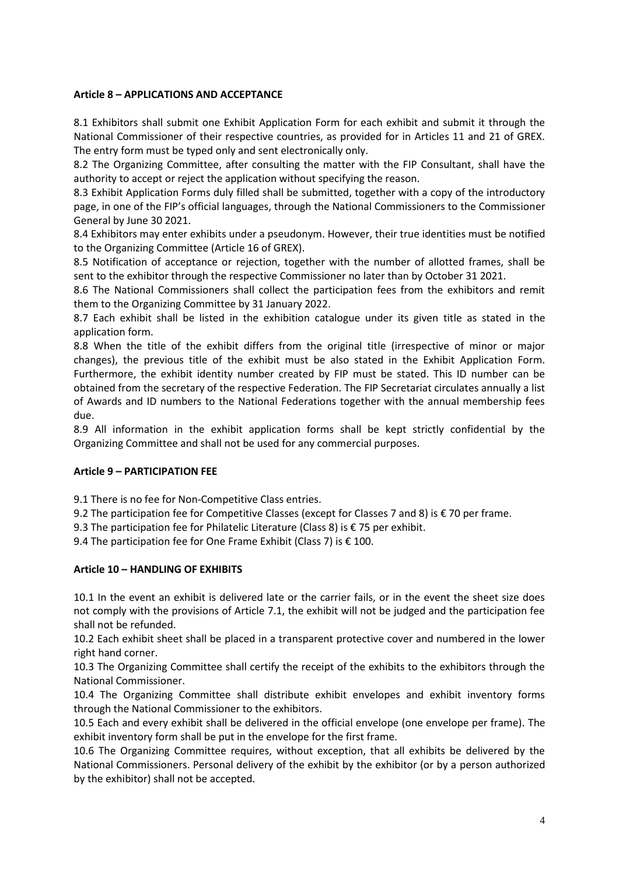#### **Article 8 – APPLICATIONS AND ACCEPTANCE**

8.1 Exhibitors shall submit one Exhibit Application Form for each exhibit and submit it through the National Commissioner of their respective countries, as provided for in Articles 11 and 21 of GREX. The entry form must be typed only and sent electronically only.

8.2 The Organizing Committee, after consulting the matter with the FIP Consultant, shall have the authority to accept or reject the application without specifying the reason.

8.3 Exhibit Application Forms duly filled shall be submitted, together with a copy of the introductory page, in one of the FIP's official languages, through the National Commissioners to the Commissioner General by June 30 2021.

8.4 Exhibitors may enter exhibits under a pseudonym. However, their true identities must be notified to the Organizing Committee (Article 16 of GREX).

8.5 Notification of acceptance or rejection, together with the number of allotted frames, shall be sent to the exhibitor through the respective Commissioner no later than by October 31 2021.

8.6 The National Commissioners shall collect the participation fees from the exhibitors and remit them to the Organizing Committee by 31 January 2022.

8.7 Each exhibit shall be listed in the exhibition catalogue under its given title as stated in the application form.

8.8 When the title of the exhibit differs from the original title (irrespective of minor or major changes), the previous title of the exhibit must be also stated in the Exhibit Application Form. Furthermore, the exhibit identity number created by FIP must be stated. This ID number can be obtained from the secretary of the respective Federation. The FIP Secretariat circulates annually a list of Awards and ID numbers to the National Federations together with the annual membership fees due.

8.9 All information in the exhibit application forms shall be kept strictly confidential by the Organizing Committee and shall not be used for any commercial purposes.

#### **Article 9 – PARTICIPATION FEE**

9.1 There is no fee for Non-Competitive Class entries.

9.2 The participation fee for Competitive Classes (except for Classes 7 and 8) is € 70 per frame.

9.3 The participation fee for Philatelic Literature (Class 8) is € 75 per exhibit.

9.4 The participation fee for One Frame Exhibit (Class 7) is € 100.

#### **Article 10 – HANDLING OF EXHIBITS**

10.1 In the event an exhibit is delivered late or the carrier fails, or in the event the sheet size does not comply with the provisions of Article 7.1, the exhibit will not be judged and the participation fee shall not be refunded.

10.2 Each exhibit sheet shall be placed in a transparent protective cover and numbered in the lower right hand corner.

10.3 The Organizing Committee shall certify the receipt of the exhibits to the exhibitors through the National Commissioner.

10.4 The Organizing Committee shall distribute exhibit envelopes and exhibit inventory forms through the National Commissioner to the exhibitors.

10.5 Each and every exhibit shall be delivered in the official envelope (one envelope per frame). The exhibit inventory form shall be put in the envelope for the first frame.

10.6 The Organizing Committee requires, without exception, that all exhibits be delivered by the National Commissioners. Personal delivery of the exhibit by the exhibitor (or by a person authorized by the exhibitor) shall not be accepted.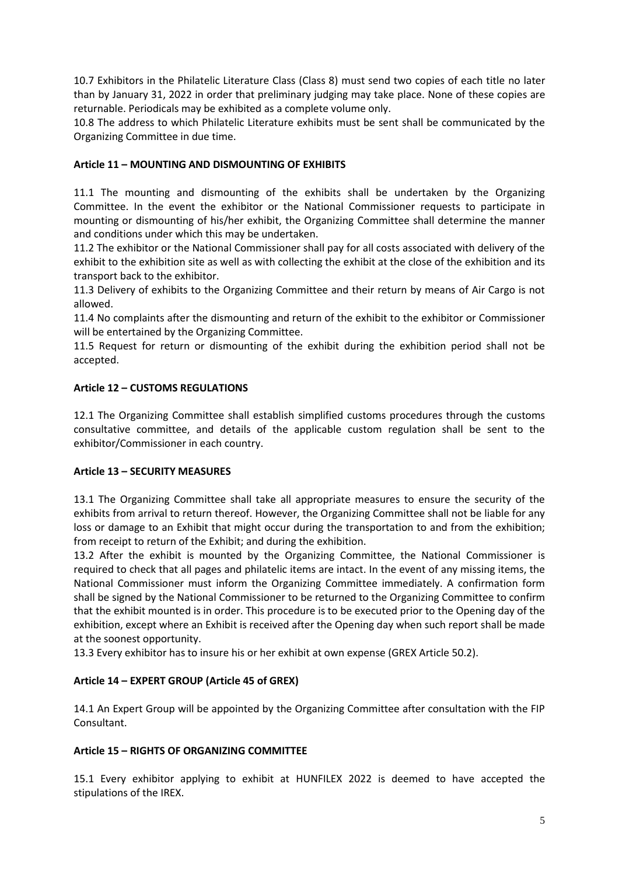10.7 Exhibitors in the Philatelic Literature Class (Class 8) must send two copies of each title no later than by January 31, 2022 in order that preliminary judging may take place. None of these copies are returnable. Periodicals may be exhibited as a complete volume only.

10.8 The address to which Philatelic Literature exhibits must be sent shall be communicated by the Organizing Committee in due time.

### **Article 11 – MOUNTING AND DISMOUNTING OF EXHIBITS**

11.1 The mounting and dismounting of the exhibits shall be undertaken by the Organizing Committee. In the event the exhibitor or the National Commissioner requests to participate in mounting or dismounting of his/her exhibit, the Organizing Committee shall determine the manner and conditions under which this may be undertaken.

11.2 The exhibitor or the National Commissioner shall pay for all costs associated with delivery of the exhibit to the exhibition site as well as with collecting the exhibit at the close of the exhibition and its transport back to the exhibitor.

11.3 Delivery of exhibits to the Organizing Committee and their return by means of Air Cargo is not allowed.

11.4 No complaints after the dismounting and return of the exhibit to the exhibitor or Commissioner will be entertained by the Organizing Committee.

11.5 Request for return or dismounting of the exhibit during the exhibition period shall not be accepted.

#### **Article 12 – CUSTOMS REGULATIONS**

12.1 The Organizing Committee shall establish simplified customs procedures through the customs consultative committee, and details of the applicable custom regulation shall be sent to the exhibitor/Commissioner in each country.

#### **Article 13 – SECURITY MEASURES**

13.1 The Organizing Committee shall take all appropriate measures to ensure the security of the exhibits from arrival to return thereof. However, the Organizing Committee shall not be liable for any loss or damage to an Exhibit that might occur during the transportation to and from the exhibition; from receipt to return of the Exhibit; and during the exhibition.

13.2 After the exhibit is mounted by the Organizing Committee, the National Commissioner is required to check that all pages and philatelic items are intact. In the event of any missing items, the National Commissioner must inform the Organizing Committee immediately. A confirmation form shall be signed by the National Commissioner to be returned to the Organizing Committee to confirm that the exhibit mounted is in order. This procedure is to be executed prior to the Opening day of the exhibition, except where an Exhibit is received after the Opening day when such report shall be made at the soonest opportunity.

13.3 Every exhibitor has to insure his or her exhibit at own expense (GREX Article 50.2).

#### **Article 14 – EXPERT GROUP (Article 45 of GREX)**

14.1 An Expert Group will be appointed by the Organizing Committee after consultation with the FIP Consultant.

#### **Article 15 – RIGHTS OF ORGANIZING COMMITTEE**

15.1 Every exhibitor applying to exhibit at HUNFILEX 2022 is deemed to have accepted the stipulations of the IREX.